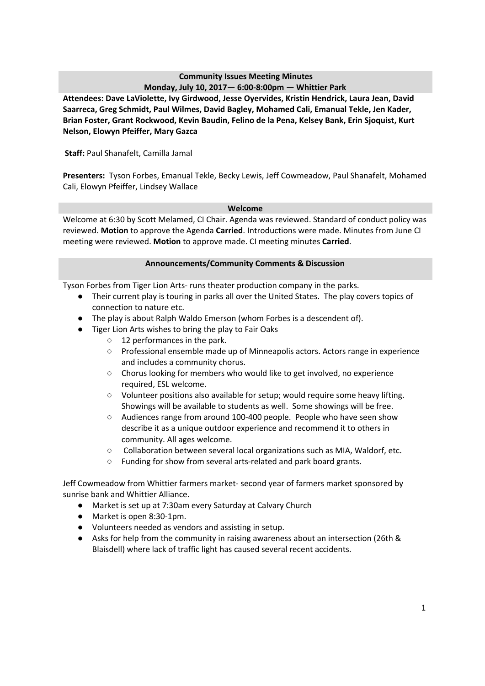# **Community Issues Meeting Minutes**

**Monday, July 10, 2017— 6:00-8:00pm — Whittier Park Attendees: Dave LaViolette, Ivy Girdwood, Jesse Oyervides, Kristin Hendrick, Laura Jean, David Saarreca, Greg Schmidt, Paul Wilmes, David Bagley, Mohamed Cali, Emanual Tekle, Jen Kader, Brian Foster, Grant Rockwood, Kevin Baudin, Felino de la Pena, Kelsey Bank, Erin Sjoquist, Kurt Nelson, Elowyn Pfeiffer, Mary Gazca**

**Staff:** Paul Shanafelt, Camilla Jamal

**Presenters:** Tyson Forbes, Emanual Tekle, Becky Lewis, Jeff Cowmeadow, Paul Shanafelt, Mohamed Cali, Elowyn Pfeiffer, Lindsey Wallace

#### **Welcome**

Welcome at 6:30 by Scott Melamed, CI Chair. Agenda was reviewed. Standard of conduct policy was reviewed. **Motion** to approve the Agenda **Carried**. Introductions were made. Minutes from June CI meeting were reviewed. **Motion** to approve made. CI meeting minutes **Carried**.

#### **Announcements/Community Comments & Discussion**

Tyson Forbes from Tiger Lion Arts- runs theater production company in the parks.

- Their current play is touring in parks all over the United States. The play covers topics of connection to nature etc.
- The play is about Ralph Waldo Emerson (whom Forbes is a descendent of).
- Tiger Lion Arts wishes to bring the play to Fair Oaks
	- 12 performances in the park.
	- Professional ensemble made up of Minneapolis actors. Actors range in experience and includes a community chorus.
	- Chorus looking for members who would like to get involved, no experience required, ESL welcome.
	- Volunteer positions also available for setup; would require some heavy lifting. Showings will be available to students as well. Some showings will be free.
	- Audiences range from around 100-400 people. People who have seen show describe it as a unique outdoor experience and recommend it to others in community. All ages welcome.
	- Collaboration between several local organizations such as MIA, Waldorf, etc.
	- Funding for show from several arts-related and park board grants.

Jeff Cowmeadow from Whittier farmers market- second year of farmers market sponsored by sunrise bank and Whittier Alliance.

- Market is set up at 7:30am every Saturday at Calvary Church
- Market is open 8:30-1pm.
- Volunteers needed as vendors and assisting in setup.
- Asks for help from the community in raising awareness about an intersection (26th & Blaisdell) where lack of traffic light has caused several recent accidents.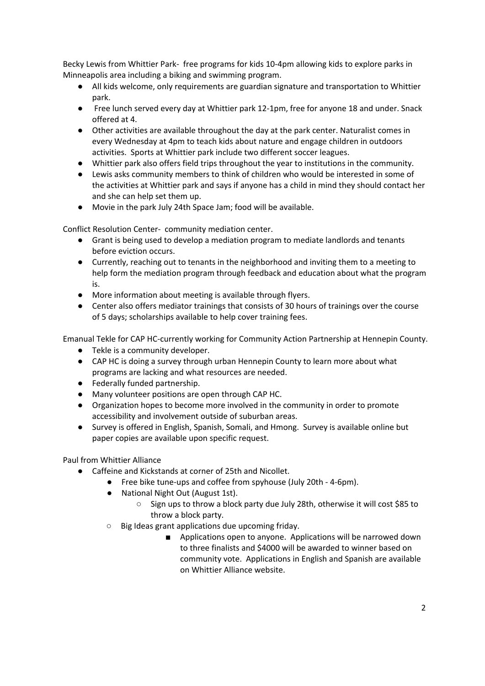Becky Lewis from Whittier Park- free programs for kids 10-4pm allowing kids to explore parks in Minneapolis area including a biking and swimming program.

- All kids welcome, only requirements are guardian signature and transportation to Whittier park.
- Free lunch served every day at Whittier park 12-1pm, free for anyone 18 and under. Snack offered at 4.
- Other activities are available throughout the day at the park center. Naturalist comes in every Wednesday at 4pm to teach kids about nature and engage children in outdoors activities. Sports at Whittier park include two different soccer leagues.
- Whittier park also offers field trips throughout the year to institutions in the community.
- Lewis asks community members to think of children who would be interested in some of the activities at Whittier park and says if anyone has a child in mind they should contact her and she can help set them up.
- Movie in the park July 24th Space Jam; food will be available.

Conflict Resolution Center- community mediation center.

- Grant is being used to develop a mediation program to mediate landlords and tenants before eviction occurs.
- Currently, reaching out to tenants in the neighborhood and inviting them to a meeting to help form the mediation program through feedback and education about what the program is.
- More information about meeting is available through flyers.
- Center also offers mediator trainings that consists of 30 hours of trainings over the course of 5 days; scholarships available to help cover training fees.

Emanual Tekle for CAP HC-currently working for Community Action Partnership at Hennepin County.

- Tekle is a community developer.
- CAP HC is doing a survey through urban Hennepin County to learn more about what programs are lacking and what resources are needed.
- Federally funded partnership.
- Many volunteer positions are open through CAP HC.
- Organization hopes to become more involved in the community in order to promote accessibility and involvement outside of suburban areas.
- Survey is offered in English, Spanish, Somali, and Hmong. Survey is available online but paper copies are available upon specific request.

Paul from Whittier Alliance

- Caffeine and Kickstands at corner of 25th and Nicollet.
	- Free bike tune-ups and coffee from spyhouse (July 20th 4-6pm).
		- National Night Out (August 1st).
			- Sign ups to throw a block party due July 28th, otherwise it will cost \$85 to throw a block party.
		- Big Ideas grant applications due upcoming friday.
			- Applications open to anyone. Applications will be narrowed down to three finalists and \$4000 will be awarded to winner based on community vote. Applications in English and Spanish are available on Whittier Alliance website.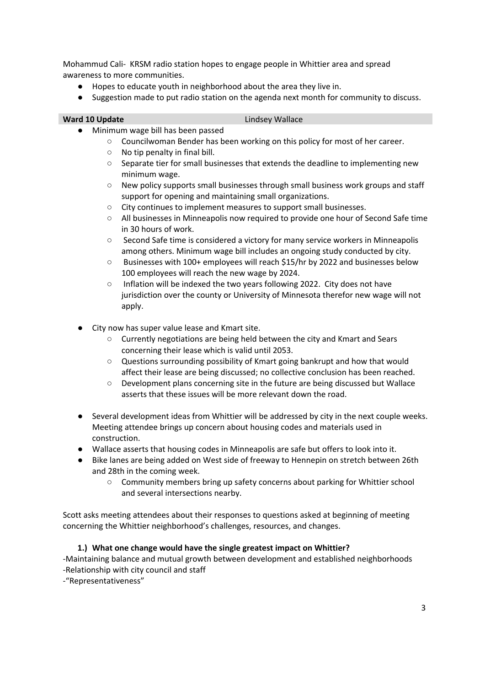Mohammud Cali- KRSM radio station hopes to engage people in Whittier area and spread awareness to more communities.

- Hopes to educate youth in neighborhood about the area they live in.
- Suggestion made to put radio station on the agenda next month for community to discuss.

#### **Ward 10 Update Lindsey Wallace**

- Minimum wage bill has been passed
	- Councilwoman Bender has been working on this policy for most of her career.
	- $\circ$  No tip penalty in final bill.
	- Separate tier for small businesses that extends the deadline to implementing new minimum wage.
	- New policy supports small businesses through small business work groups and staff support for opening and maintaining small organizations.
	- City continues to implement measures to support small businesses.
	- All businesses in Minneapolis now required to provide one hour of Second Safe time in 30 hours of work.
	- Second Safe time is considered a victory for many service workers in Minneapolis among others. Minimum wage bill includes an ongoing study conducted by city.
	- Businesses with 100+ employees will reach \$15/hr by 2022 and businesses below 100 employees will reach the new wage by 2024.
	- Inflation will be indexed the two years following 2022. City does not have jurisdiction over the county or University of Minnesota therefor new wage will not apply.
- City now has super value lease and Kmart site.
	- Currently negotiations are being held between the city and Kmart and Sears concerning their lease which is valid until 2053.
	- Questions surrounding possibility of Kmart going bankrupt and how that would affect their lease are being discussed; no collective conclusion has been reached.
	- Development plans concerning site in the future are being discussed but Wallace asserts that these issues will be more relevant down the road.
- Several development ideas from Whittier will be addressed by city in the next couple weeks. Meeting attendee brings up concern about housing codes and materials used in construction.
- Wallace asserts that housing codes in Minneapolis are safe but offers to look into it.
- Bike lanes are being added on West side of freeway to Hennepin on stretch between 26th and 28th in the coming week.
	- Community members bring up safety concerns about parking for Whittier school and several intersections nearby.

Scott asks meeting attendees about their responses to questions asked at beginning of meeting concerning the Whittier neighborhood's challenges, resources, and changes.

## **1.) What one change would have the single greatest impact on Whittier?**

-Maintaining balance and mutual growth between development and established neighborhoods -Relationship with city council and staff

-"Representativeness"